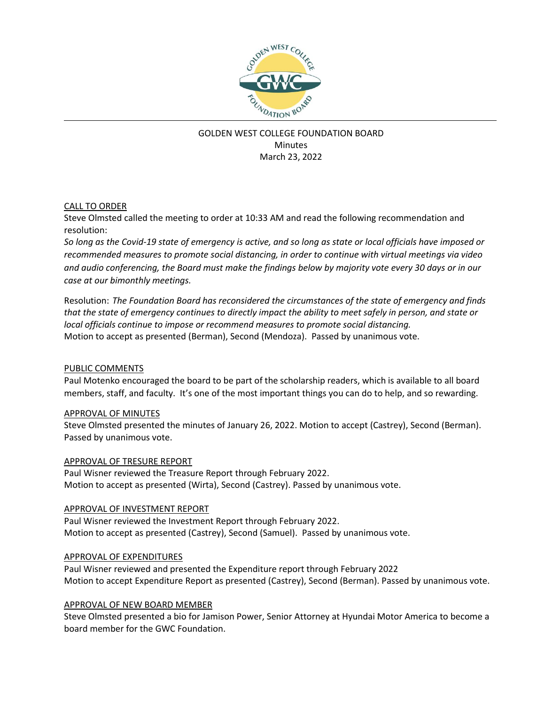

# GOLDEN WEST COLLEGE FOUNDATION BOARD **Minutes** March 23, 2022

### CALL TO ORDER

Steve Olmsted called the meeting to order at 10:33 AM and read the following recommendation and resolution:

*So long as the Covid-19 state of emergency is active, and so long as state or local officials have imposed or recommended measures to promote social distancing, in order to continue with virtual meetings via video and audio conferencing, the Board must make the findings below by majority vote every 30 days or in our case at our bimonthly meetings.*

Resolution: *The Foundation Board has reconsidered the circumstances of the state of emergency and finds that the state of emergency continues to directly impact the ability to meet safely in person, and state or local officials continue to impose or recommend measures to promote social distancing.* Motion to accept as presented (Berman), Second (Mendoza). Passed by unanimous vote.

## PUBLIC COMMENTS

Paul Motenko encouraged the board to be part of the scholarship readers, which is available to all board members, staff, and faculty. It's one of the most important things you can do to help, and so rewarding.

### APPROVAL OF MINUTES

Steve Olmsted presented the minutes of January 26, 2022. Motion to accept (Castrey), Second (Berman). Passed by unanimous vote.

### APPROVAL OF TRESURE REPORT

Paul Wisner reviewed the Treasure Report through February 2022. Motion to accept as presented (Wirta), Second (Castrey). Passed by unanimous vote.

### APPROVAL OF INVESTMENT REPORT

Paul Wisner reviewed the Investment Report through February 2022. Motion to accept as presented (Castrey), Second (Samuel). Passed by unanimous vote.

### APPROVAL OF EXPENDITURES

Paul Wisner reviewed and presented the Expenditure report through February 2022 Motion to accept Expenditure Report as presented (Castrey), Second (Berman). Passed by unanimous vote.

### APPROVAL OF NEW BOARD MEMBER

Steve Olmsted presented a bio for Jamison Power, Senior Attorney at Hyundai Motor America to become a board member for the GWC Foundation.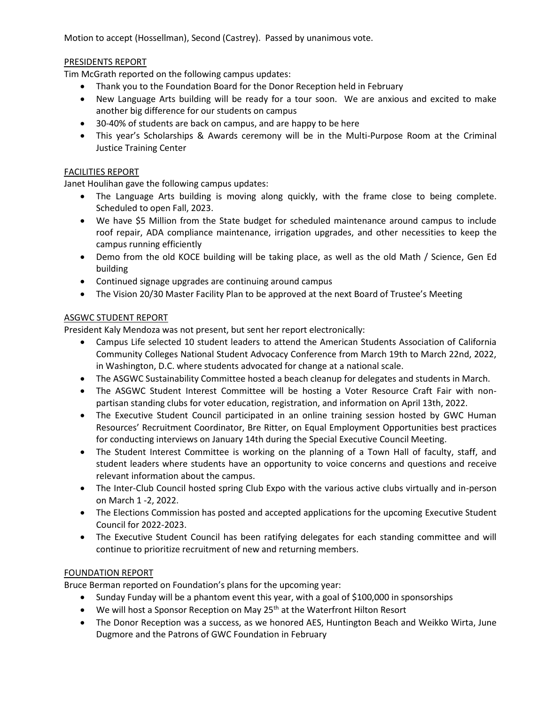Motion to accept (Hossellman), Second (Castrey). Passed by unanimous vote.

### PRESIDENTS REPORT

Tim McGrath reported on the following campus updates:

- Thank you to the Foundation Board for the Donor Reception held in February
- New Language Arts building will be ready for a tour soon. We are anxious and excited to make another big difference for our students on campus
- 30-40% of students are back on campus, and are happy to be here
- This year's Scholarships & Awards ceremony will be in the Multi-Purpose Room at the Criminal Justice Training Center

### FACILITIES REPORT

Janet Houlihan gave the following campus updates:

- The Language Arts building is moving along quickly, with the frame close to being complete. Scheduled to open Fall, 2023.
- We have \$5 Million from the State budget for scheduled maintenance around campus to include roof repair, ADA compliance maintenance, irrigation upgrades, and other necessities to keep the campus running efficiently
- Demo from the old KOCE building will be taking place, as well as the old Math / Science, Gen Ed building
- Continued signage upgrades are continuing around campus
- The Vision 20/30 Master Facility Plan to be approved at the next Board of Trustee's Meeting

### ASGWC STUDENT REPORT

President Kaly Mendoza was not present, but sent her report electronically:

- Campus Life selected 10 student leaders to attend the American Students Association of California Community Colleges National Student Advocacy Conference from March 19th to March 22nd, 2022, in Washington, D.C. where students advocated for change at a national scale.
- The ASGWC Sustainability Committee hosted a beach cleanup for delegates and students in March.
- The ASGWC Student Interest Committee will be hosting a Voter Resource Craft Fair with nonpartisan standing clubs for voter education, registration, and information on April 13th, 2022.
- The Executive Student Council participated in an online training session hosted by GWC Human Resources' Recruitment Coordinator, Bre Ritter, on Equal Employment Opportunities best practices for conducting interviews on January 14th during the Special Executive Council Meeting.
- The Student Interest Committee is working on the planning of a Town Hall of faculty, staff, and student leaders where students have an opportunity to voice concerns and questions and receive relevant information about the campus.
- The Inter-Club Council hosted spring Club Expo with the various active clubs virtually and in-person on March 1 -2, 2022.
- The Elections Commission has posted and accepted applications for the upcoming Executive Student Council for 2022-2023.
- The Executive Student Council has been ratifying delegates for each standing committee and will continue to prioritize recruitment of new and returning members.

### FOUNDATION REPORT

Bruce Berman reported on Foundation's plans for the upcoming year:

- Sunday Funday will be a phantom event this year, with a goal of \$100,000 in sponsorships
- We will host a Sponsor Reception on May 25<sup>th</sup> at the Waterfront Hilton Resort
- The Donor Reception was a success, as we honored AES, Huntington Beach and Weikko Wirta, June Dugmore and the Patrons of GWC Foundation in February